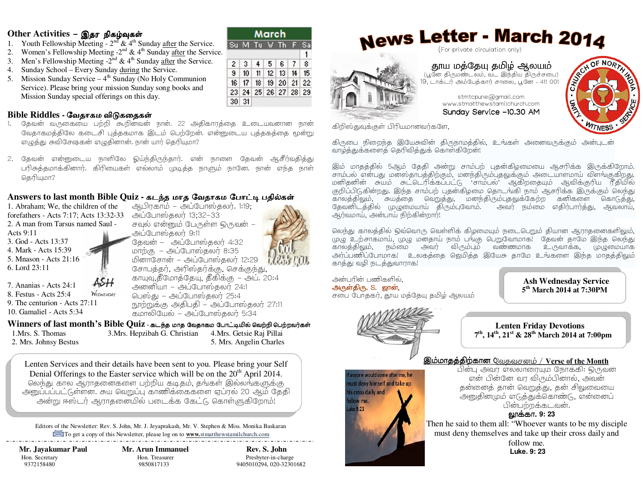#### $\begin{array}{c} \textbf{Other Activities -} \textbf{\textcircled{S}} \textbf{\textcircled{F}} \textbf{ of } \textbf{split} \end{array}$

- 1. Youth Fellowship Meeting  $2<sup>nd</sup>$  & 4<sup>th</sup> Sunday <u>after</u> the Service.
- 2. Women's Fellowship Meeting  $-2^{nd}$  &  $4^{th}$  Sunday <u>after</u> the Service.
- 3. Men's Fellowship Meeting  $-2^{nd} \& 4^{th}$  Sunday <u>after</u> the Service.
- 4. Sunday School Every Sunday <u>during</u> the Service.
- 5. Mission Sunday Service  $-4<sup>th</sup>$  Sunday (No Holy Communion Service). Please bring your mission Sunday song books and Mission Sunday special offerings on this day.

## **Bible Riddles -** ேவதாகம விᾌகைதக῀

- . தேவன் வருகையை பற்றி கூறினவன் நான். 22 அதிகாரத்தை உடையவனான நான் 1.வேதாகமத்திலே கடைசி புத்தகமாக இடம் பெற்றேன். என்னுடைய புத்தகத்தை மூன்று எழுத்து சுவிசேஷகன் எழுதினான். நான் யார் தெரியுமா?
- 2. தேவன் என்னுடைய நாளிலே ஓய்ந்திருந்தார். என் நாளை தேவன் ஆசீர்வதித்து பரிசுத்தமாக்கினார். கிரியைகள் எல்லாம் முடித்த நாளும் நானே. நான் எந்த நாள் கெரியமா?

#### Answers to last month Bible Quiz - கடந்த மாத வேதாகம போட்டி பதில்கள்<br>1. Abraham We the obildren of the service and Culture Equation 1:10: ஆபிரகாம் – அப்போஸ்தலர். 1:19;

1. Abraham; We, the children of the forefathers - Acts 7:17; Acts 13:32-33 அப்போஸ்தலர் 13;32-33 2. A man from Tarsus named Saul - Acts 9:11 3. God - Acts 13:37

 4. Mark - Acts 15:39 5. Mnason - Acts 21:16 6. Lord 23:11

7. Ananias - Acts 24:1 WEDNESDAY 8. Festus - Acts 25:4 9. The centurion - Acts 27:11 10. Gamaliel - Acts 5:34

அப்போஸ்கலா 9:11 தேவன் – – அப்போஸ்தலர் 4:32  $m_{\text{D}}$ (சு $-$ அப்போஸ்தலர் 8:35 மினாசோன் – அப்போஸ்தலர் 12:29 சோபத்தர், அரிஸ்தர்க்கு, செக்குந்து, காயுவு,தீமோத்தேயு, தீகிக்கு – அப். 20:4 அனனியா – அப்போஸதலர்  $24:1$ பெஸ்து – அப்போஸ்தலர்  $25:4$ நூற்றுக்கு அதிபதி – அப்போஸ்தலர் 27:11 கமாலியேல் – அப்போஸ்கலா 5:34

**Winners of last month's Bible Quiz - கடந்த மாத வேதாகம போட்டியில் வெற்றி பெற்றவர்கள்**<br>புதிகை S. Thomas 1.Mrs. S. Thomas 2. Mrs. Johnsy Bestus 3.Mrs. Hepzibah G. Christian 4.Mrs. Getsie Raj Pillai 5. Mrs. Angelin Charles

Lenten Services and their details have been sent to you. Please bring your Self Denial Offerings to the Easter service which will be on the  $20<sup>th</sup>$  April 2014. லெந்து கால ஆராதனைகளை பற்றிய கடிதம், தங்கள் இல்லங்களுக்கு அனுப்பப்பட்டுள்ளன. சுய வெறுப்பு காணிக்கைகளை ஏப்ரல் 20 ஆம் தேதி அன்று ஈஸ்டர் ஆராதனையில் படைக்க கேட்டு கொள்ளுகிறோம்!

Editors of the Newsletter: Rev. S. John, Mr. J. Jeyaprakash, Mr. V. Stephen & Miss. Monika Baskaran To get a copy of this Newsletter, please log on to **www.**stmatthewstamilchurch.com

 **Mr. Jayakumar Paul Mr. Arun Immanuel Rev. S. John** 

## Hon. Secretary **Hon. Treasurer** Presbyter-in-charge

9372158480 9850817133 9405010294, 020-32301682

|              | Su M Tu V Th         |  | - E |  |
|--------------|----------------------|--|-----|--|
|              |                      |  |     |  |
|              | 2 3 4 5 6 7 8        |  |     |  |
| $\mathbf{s}$ | $10$ 11 12 13 14 15  |  |     |  |
|              | 16 17 18 19 20 21 22 |  |     |  |
|              | 23 24 25 26 27 28 29 |  |     |  |
| $30 \mid 31$ |                      |  |     |  |

# News Letter - March 2014





**தூய மத்தேயு தமிழ் ஆலயம்**<br>பூனே திருமண்டலம், வட இந்திய திருச்சபை) 19, டாக்டர் அம்பேத்கார் சாலை, பூனே – 411 001<br>-

> stmtcpune@gmail.com www.stmatthewstamilchurch.comSunday Service –10.30 AM



கிறிஸ்துவுக்குள் பிரியமானவர்களே,

கிருபை நிறைந்த இயேசுவின் திருநாமத்தில், உங்கள் அனைவருக்கும் அன்படன் வாழ்த்துக்களைத் தெரிவித்துக் கொள்கிறேன்!

இம் மாதத்தில் 5ஆம் தேதி அன்று சாம்பற் புதன்கிழமையை ஆசரிக்க இருக்கிறோம். சாம்பல் என்பது மன்ஸ்தாபத்திற்கும், மனந்திரும்புதலுக்கும் அடையாளமாய் விளங்குகிறது. மனிதனின் சுயம் சுட்டெரிக்கப்பட்டு 'சாம்பல்' ஆகிறதையும் ஆவிக்குரிய ரீதியில் குறிப்பிடுகின்றது. இந்த சாம்பற் புதன்கிழமை தொடங்கி நாம் ஆசரிக்க இருக்கும் லெந்து காலத்திலும், சுயத்தை வெறுத்து, மனந்திரும்புதலுக்கேற்ற கனிகளை கொடுத்து, கேவனிடத்தில் முழுமையாய் திரும்புவோம். அவர் நம்மை எதிர்பார்த்து, அவலாய், அர்வமாய், அன்பாய் நிற்கின்றார்!

லெந்து காலத்தில் ஒவ்வொரு வெள்ளிக் கிழமையும் நடைபெறும் தியான ஆராதனைகளிலும், முழு உற்சாகமாய், முழு மனதாய் நாம் பங்கு பெறுவோமாக! தேவன் தாமே இந்த லெந்து காலத்திலும், நம்மை அவர் விரும்பும் வண்ணமாக உருவாக்க, முழுமையாக <u>அர்ப்பணிப்போமாக! உலகக்கை ஜெயிக்க இயேசு காமே உங்களை இந்க மாகக்கிவும்</u> காத்து வழி நடத்துவாராக!

அன்பரின் பணிகளில். அருள்திரு. S. ஜான், சபை போதகர், தூய மத்தேயு தமிழ் ஆலயம்

> ust deny himself and take up is cross daily and llow me.  $(0.9.23)$

 **Ash Wednesday Service 5th March 2014 at 7:30PM**



**Lenten Friday Devotions <sup>7</sup>th, 14th, 21st & 28th March 2014 at 7:00pm** 

## /0+#(&#!;!0 ;!0/**Verse of the Month**

D. முறை பெயர் எல்லாரையும் நோக்கி: ஒருவன்<br>அல்லாம் கிட்டி பெயர் பெயர் பெயர் பெயர் வெள்ளை விட்டி வெள்ள 'என் பின்னே வர விரும்பினால், அவன் தன்னைத் தான் வெறுத்து, தன் சிலுவையை அனுதினமும் எடுத்துக்கொண்டு, என்னைப் ின்பற்றக்கடவன்.

#### <u>லூக்கா. 9: 23</u>

 Then he said to them all: "Whoever wants to be my disciple must deny themselves and take up their cross daily and

follow me.  **Luke. 9: 23**

சவுல் என்னும் பேருள்ள ஒருவன் –